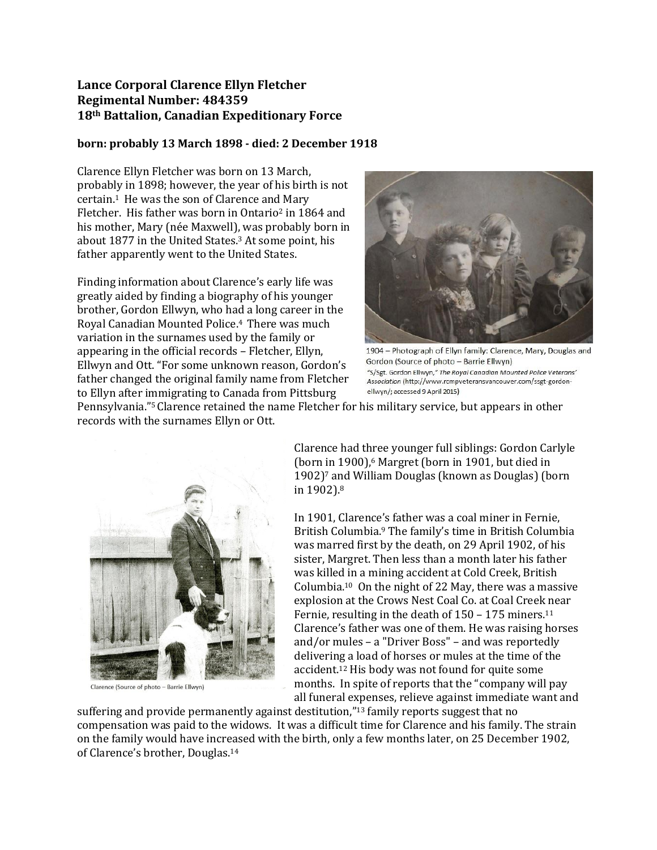## **Lance Corporal Clarence Ellyn Fletcher Regimental Number: 484359 18th Battalion, Canadian Expeditionary Force**

## **born: probably 13 March 1898 - died: 2 December 1918**

Clarence Ellyn Fletcher was born on 13 March, probably in 1898; however, the year of his birth is not certain.<sup>1</sup> He was the son of Clarence and Mary Fletcher. His father was born in Ontario<sup>2</sup> in 1864 and his mother, Mary (née Maxwell), was probably born in about 1877 in the United States.<sup>3</sup> At some point, his father apparently went to the United States.

Finding information about Clarence's early life was greatly aided by finding a biography of his younger brother, Gordon Ellwyn, who had a long career in the Royal Canadian Mounted Police.<sup>4</sup> There was much variation in the surnames used by the family or appearing in the official records – Fletcher, Ellyn, Ellwyn and Ott. "For some unknown reason, Gordon's father changed the original family name from Fletcher to Ellyn after immigrating to Canada from Pittsburg



1904 - Photograph of Ellyn family: Clarence, Mary, Douglas and Gordon (Source of photo - Barrie Ellwyn) "S/Sgt. Gordon Ellwyn," The Royal Canadian Mounted Police Veterans' Association (http://www.rcmpveteransvancouver.com/ssgt-gordonellwyn/; accessed 9 April 2015)

Pennsylvania."5Clarence retained the name Fletcher for his military service, but appears in other records with the surnames Ellyn or Ott.



Clarence (Source of photo - Barrie Ellwyn)

Clarence had three younger full siblings: Gordon Carlyle (born in 1900), <sup>6</sup> Margret (born in 1901, but died in 1902) <sup>7</sup> and William Douglas (known as Douglas) (born in 1902).<sup>8</sup>

In 1901, Clarence's father was a coal miner in Fernie, British Columbia.<sup>9</sup> The family's time in British Columbia was marred first by the death, on 29 April 1902, of his sister, Margret. Then less than a month later his father was killed in a mining accident at Cold Creek, British Columbia. <sup>10</sup> On the night of 22 May, there was a massive explosion at the Crows Nest Coal Co. at Coal Creek near Fernie, resulting in the death of 150 - 175 miners.<sup>11</sup> Clarence's father was one of them. He was raising horses and/or mules – a "Driver Boss" – and was reportedly delivering a load of horses or mules at the time of the accident. <sup>12</sup> His body was not found for quite some months. In spite of reports that the "company will pay all funeral expenses, relieve against immediate want and

suffering and provide permanently against destitution,"<sup>13</sup> family reports suggest that no compensation was paid to the widows. It was a difficult time for Clarence and his family. The strain on the family would have increased with the birth, only a few months later, on 25 December 1902, of Clarence's brother, Douglas.14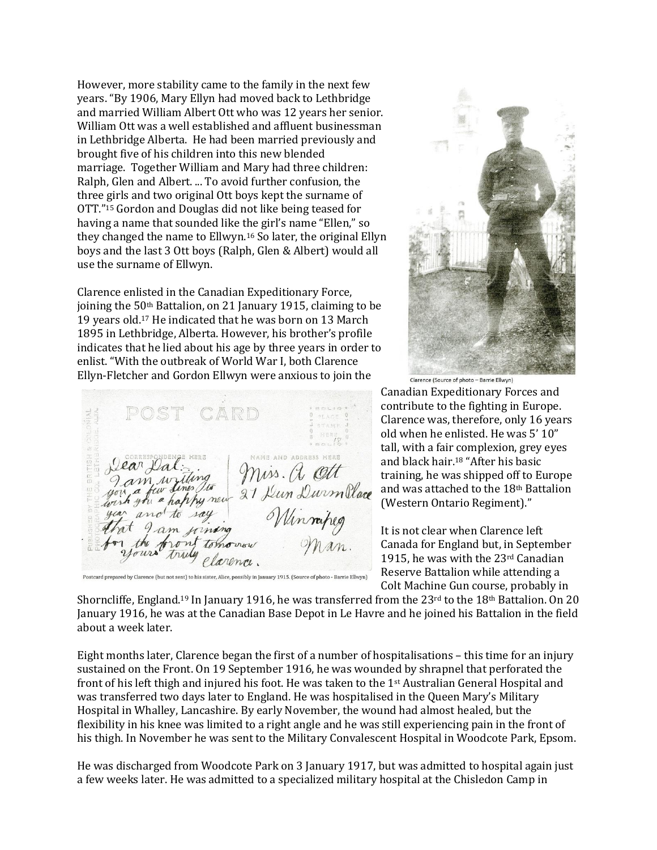However, more stability came to the family in the next few years. "By 1906, Mary Ellyn had moved back to Lethbridge and married William Albert Ott who was 12 years her senior. William Ott was a well established and affluent businessman in Lethbridge Alberta. He had been married previously and brought five of his children into this new blended marriage. Together William and Mary had three children: Ralph, Glen and Albert. ... To avoid further confusion, the three girls and two original Ott boys kept the surname of OTT." <sup>15</sup> Gordon and Douglas did not like being teased for having a name that sounded like the girl's name "Ellen," so they changed the name to Ellwyn.<sup>16</sup> So later, the original Ellyn boys and the last 3 Ott boys (Ralph, Glen & Albert) would all use the surname of Ellwyn.

Clarence enlisted in the Canadian Expeditionary Force, joining the 50<sup>th</sup> Battalion, on 21 January 1915, claiming to be 19 years old.<sup>17</sup> He indicated that he was born on 13 March 1895 in Lethbridge, Alberta. However, his brother's profile indicates that he lied about his age by three years in order to enlist. "With the outbreak of World War I, both Clarence Ellyn-Fletcher and Gordon Ellwyn were anxious to join the

CARD an Dal: ing mine and address HERE<br>an National Miss. A Citt<br>comparison of 21 Lun Durmillace NAME AND ADDRESS HERE Jear Dal am, write r the f Postcard prepared by Clarence (but not sent) to his sister, Alice, possibly in January 1915. (Source of photo - Barrie Ellwyn)



Clarence (Source of photo - Barrie Ellwyn)

Canadian Expeditionary Forces and contribute to the fighting in Europe. Clarence was, therefore, only 16 years old when he enlisted. He was 5' 10" tall, with a fair complexion, grey eyes and black hair.<sup>18</sup> "After his basic training, he was shipped off to Europe and was attached to the 18th Battalion (Western Ontario Regiment)."

It is not clear when Clarence left Canada for England but, in September 1915, he was with the  $23<sup>rd</sup>$  Canadian Reserve Battalion while attending a Colt Machine Gun course, probably in

Shorncliffe, England.<sup>19</sup> In January 1916, he was transferred from the  $23<sup>rd</sup>$  to the 18<sup>th</sup> Battalion. On 20 January 1916, he was at the Canadian Base Depot in Le Havre and he joined his Battalion in the field about a week later.

Eight months later, Clarence began the first of a number of hospitalisations – this time for an injury sustained on the Front. On 19 September 1916, he was wounded by shrapnel that perforated the front of his left thigh and injured his foot. He was taken to the 1st Australian General Hospital and was transferred two days later to England. He was hospitalised in the Queen Mary's Military Hospital in Whalley, Lancashire. By early November, the wound had almost healed, but the flexibility in his knee was limited to a right angle and he was still experiencing pain in the front of his thigh. In November he was sent to the Military Convalescent Hospital in Woodcote Park, Epsom.

He was discharged from Woodcote Park on 3 January 1917, but was admitted to hospital again just a few weeks later. He was admitted to a specialized military hospital at the Chisledon Camp in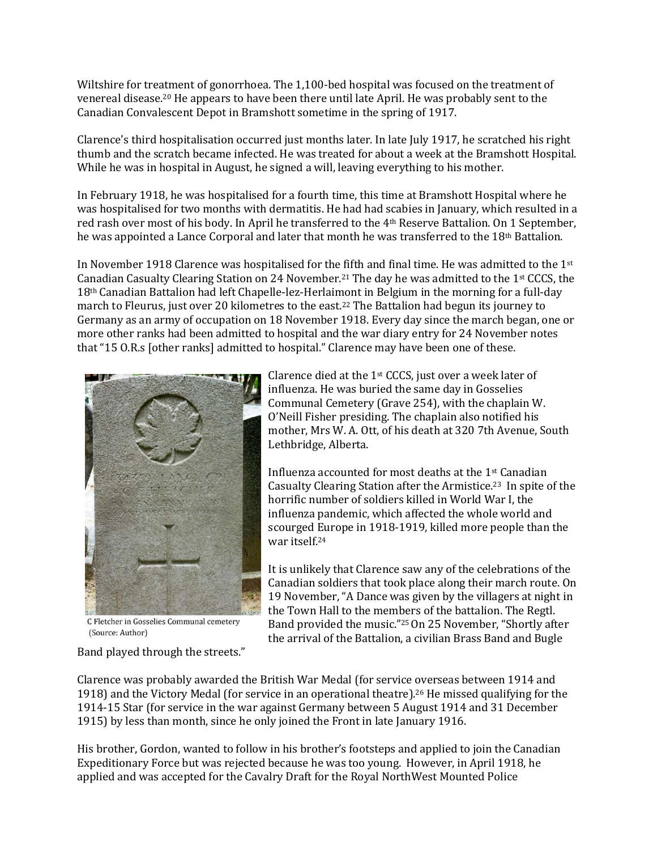Wiltshire for treatment of gonorrhoea. The 1,100-bed hospital was focused on the treatment of venereal disease.<sup>20</sup> He appears to have been there until late April. He was probably sent to the Canadian Convalescent Depot in Bramshott sometime in the spring of 1917.

Clarence's third hospitalisation occurred just months later. In late July 1917, he scratched his right thumb and the scratch became infected. He was treated for about a week at the Bramshott Hospital. While he was in hospital in August, he signed a will, leaving everything to his mother.

In February 1918, he was hospitalised for a fourth time, this time at Bramshott Hospital where he was hospitalised for two months with dermatitis. He had had scabies in January, which resulted in a red rash over most of his body. In April he transferred to the 4th Reserve Battalion. On 1 September, he was appointed a Lance Corporal and later that month he was transferred to the 18th Battalion.

In November 1918 Clarence was hospitalised for the fifth and final time. He was admitted to the 1st Canadian Casualty Clearing Station on 24 November.<sup>21</sup> The day he was admitted to the 1st CCCS, the 18th Canadian Battalion had left Chapelle-lez-Herlaimont in Belgium in the morning for a full-day march to Fleurus, just over 20 kilometres to the east.<sup>22</sup> The Battalion had begun its journey to Germany as an army of occupation on 18 November 1918. Every day since the march began, one or more other ranks had been admitted to hospital and the war diary entry for 24 November notes that "15 O.R.s [other ranks] admitted to hospital." Clarence may have been one of these.



C Fletcher in Gosselies Communal cemetery (Source: Author)

Band played through the streets."

Clarence died at the  $1<sup>st</sup>$  CCCS, just over a week later of influenza. He was buried the same day in Gosselies Communal Cemetery (Grave 254), with the chaplain W. O'Neill Fisher presiding. The chaplain also notified his mother, Mrs W. A. Ott, of his death at 320 7th Avenue, South Lethbridge, Alberta.

Influenza accounted for most deaths at the 1st Canadian Casualty Clearing Station after the Armistice.23 In spite of the horrific number of soldiers killed in World War I, the influenza pandemic, which affected the whole world and scourged Europe in 1918-1919, killed more people than the war itself.<sup>24</sup>

It is unlikely that Clarence saw any of the celebrations of the Canadian soldiers that took place along their march route. On 19 November, "A Dance was given by the villagers at night in the Town Hall to the members of the battalion. The Regtl. Band provided the music."25On 25 November, "Shortly after the arrival of the Battalion, a civilian Brass Band and Bugle

Clarence was probably awarded the British War Medal (for service overseas between 1914 and 1918) and the Victory Medal (for service in an operational theatre).<sup>26</sup> He missed qualifying for the 1914-15 Star (for service in the war against Germany between 5 August 1914 and 31 December 1915) by less than month, since he only joined the Front in late January 1916.

His brother, Gordon, wanted to follow in his brother's footsteps and applied to join the Canadian Expeditionary Force but was rejected because he was too young. However, in April 1918, he applied and was accepted for the Cavalry Draft for the Royal NorthWest Mounted Police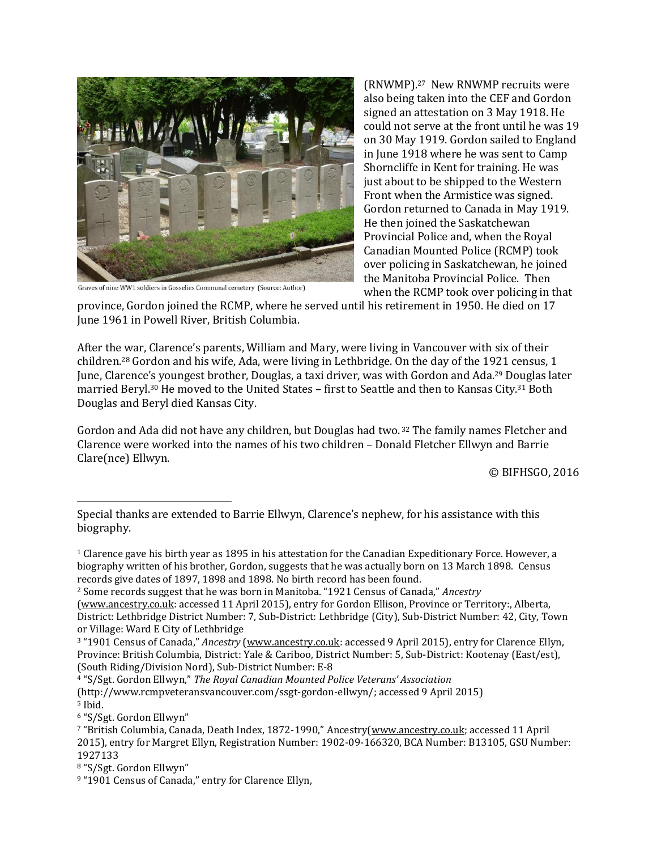

Graves of nine WW1 soldiers in Gosselies Communal cemetery (Source: Author)

(RNWMP).27 New RNWMP recruits were also being taken into the CEF and Gordon signed an attestation on 3 May 1918. He could not serve at the front until he was 19 on 30 May 1919. Gordon sailed to England in June 1918 where he was sent to Camp Shorncliffe in Kent for training. He was just about to be shipped to the Western Front when the Armistice was signed. Gordon returned to Canada in May 1919. He then joined the Saskatchewan Provincial Police and, when the Royal Canadian Mounted Police (RCMP) took over policing in Saskatchewan, he joined the Manitoba Provincial Police. Then when the RCMP took over policing in that

province, Gordon joined the RCMP, where he served until his retirement in 1950. He died on 17 June 1961 in Powell River, British Columbia.

After the war, Clarence's parents, William and Mary, were living in Vancouver with six of their children.<sup>28</sup> Gordon and his wife, Ada, were living in Lethbridge. On the day of the 1921 census, 1 June, Clarence's youngest brother, Douglas, a taxi driver, was with Gordon and Ada.<sup>29</sup> Douglas later married Beryl. <sup>30</sup> He moved to the United States – first to Seattle and then to Kansas City.<sup>31</sup> Both Douglas and Beryl died Kansas City.

Gordon and Ada did not have any children, but Douglas had two. <sup>32</sup> The family names Fletcher and Clarence were worked into the names of his two children – Donald Fletcher Ellwyn and Barrie Clare(nce) Ellwyn.

© BIFHSGO, 2016

 $\overline{\phantom{a}}$ 

Special thanks are extended to Barrie Ellwyn, Clarence's nephew, for his assistance with this biography.

<sup>1</sup> Clarence gave his birth year as 1895 in his attestation for the Canadian Expeditionary Force. However, a biography written of his brother, Gordon, suggests that he was actually born on 13 March 1898. Census records give dates of 1897, 1898 and 1898. No birth record has been found.

<sup>2</sup> Some records suggest that he was born in Manitoba. "1921 Census of Canada," *Ancestry*

[<sup>\(</sup>www.ancestry.co.uk:](http://www.ancestry.co.uk/) accessed 11 April 2015), entry for Gordon Ellison, Province or Territory:, Alberta, District: Lethbridge District Number: 7, Sub-District: Lethbridge (City), Sub-District Number: 42, City, Town or Village: Ward E City of Lethbridge

<sup>3</sup> "1901 Census of Canada," *Ancestry* [\(www.ancestry.co.uk:](http://www.ancestry.co.uk/) accessed 9 April 2015), entry for Clarence Ellyn, Province: British Columbia, District: Yale & Cariboo, District Number: 5, Sub-District: Kootenay (East/est), (South Riding/Division Nord), Sub-District Number: E-8

<sup>4</sup> "S/Sgt. Gordon Ellwyn," *The Royal Canadian Mounted Police Veterans' Association* (http://www.rcmpveteransvancouver.com/ssgt-gordon-ellwyn/; accessed 9 April 2015) <sup>5</sup> Ibid.

<sup>6</sup> "S/Sgt. Gordon Ellwyn"

<sup>7</sup> "British Columbia, Canada, Death Index, 1872-1990," Ancestry([www.ancestry.co.uk;](http://www.ancestry.co.uk/) accessed 11 April 2015), entry for Margret Ellyn, Registration Number: 1902-09-166320, BCA Number: B13105, GSU Number: 1927133

<sup>8</sup> "S/Sgt. Gordon Ellwyn"

<sup>9</sup> "1901 Census of Canada," entry for Clarence Ellyn,